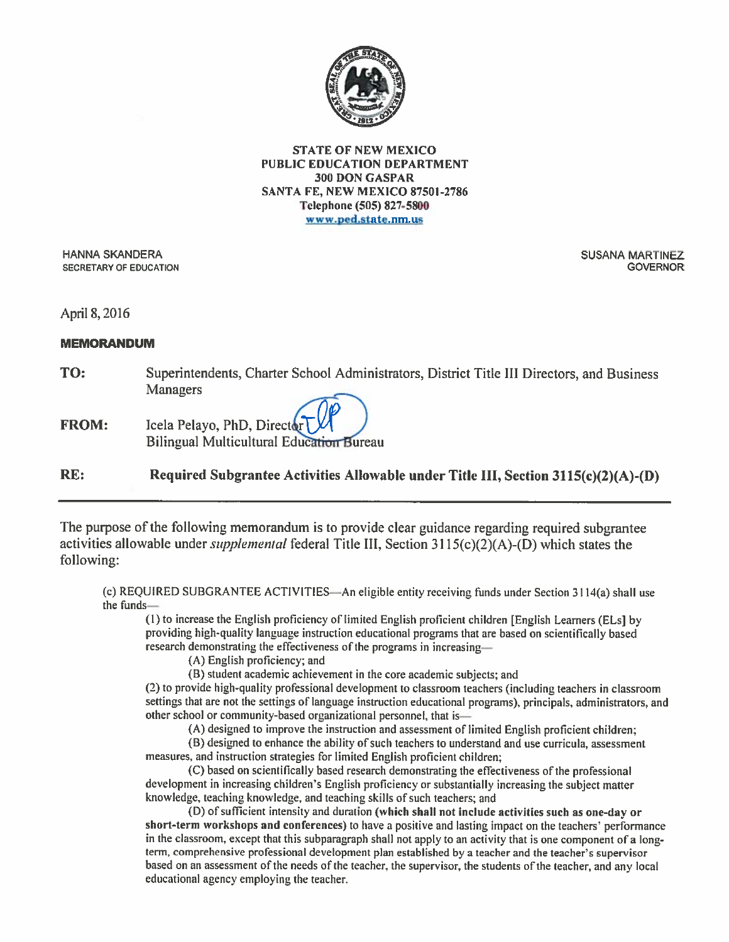

#### **STATE OF NEW MEXICO PUBLIC EDUCATION DEPARTMENT** 300 DON GASPAR SANTA FE, NEW MEXICO 87501-2786 Telephone (505) 827-5800 www.ped.state.nm.us

**HANNA SKANDERA SECRETARY OF EDUCATION**  **SUSANA MARTINEZ GOVERNOR** 

April 8, 2016

### **MEMORANDUM**

- TO: Superintendents, Charter School Administrators, District Title III Directors, and Business **Managers**
- Icela Pelayo, PhD, Director **FROM:** Bilingual Multicultural Education Bureau

RE: Required Subgrantee Activities Allowable under Title III, Section 3115(c)(2)(A)-(D)

The purpose of the following memorandum is to provide clear guidance regarding required subgrantee activities allowable under *supplemental* federal Title III, Section  $3115(c)(2)(A)$ -(D) which states the following:

(c) REQUIRED SUBGRANTEE ACTIVITIES-An eligible entity receiving funds under Section 3114(a) shall use the funds-

(1) to increase the English proficiency of limited English proficient children [English Learners (ELs] by providing high-quality language instruction educational programs that are based on scientifically based research demonstrating the effectiveness of the programs in increasing-

(A) English proficiency; and

(B) student academic achievement in the core academic subjects; and

(2) to provide high-quality professional development to classroom teachers (including teachers in classroom settings that are not the settings of language instruction educational programs), principals, administrators, and other school or community-based organizational personnel, that is-

(A) designed to improve the instruction and assessment of limited English proficient children;

(B) designed to enhance the ability of such teachers to understand and use curricula, assessment measures, and instruction strategies for limited English proficient children;

(C) based on scientifically based research demonstrating the effectiveness of the professional development in increasing children's English proficiency or substantially increasing the subject matter knowledge, teaching knowledge, and teaching skills of such teachers; and

(D) of sufficient intensity and duration (which shall not include activities such as one-day or short-term workshops and conferences) to have a positive and lasting impact on the teachers' performance in the classroom, except that this subparagraph shall not apply to an activity that is one component of a longterm, comprehensive professional development plan established by a teacher and the teacher's supervisor based on an assessment of the needs of the teacher, the supervisor, the students of the teacher, and any local educational agency employing the teacher.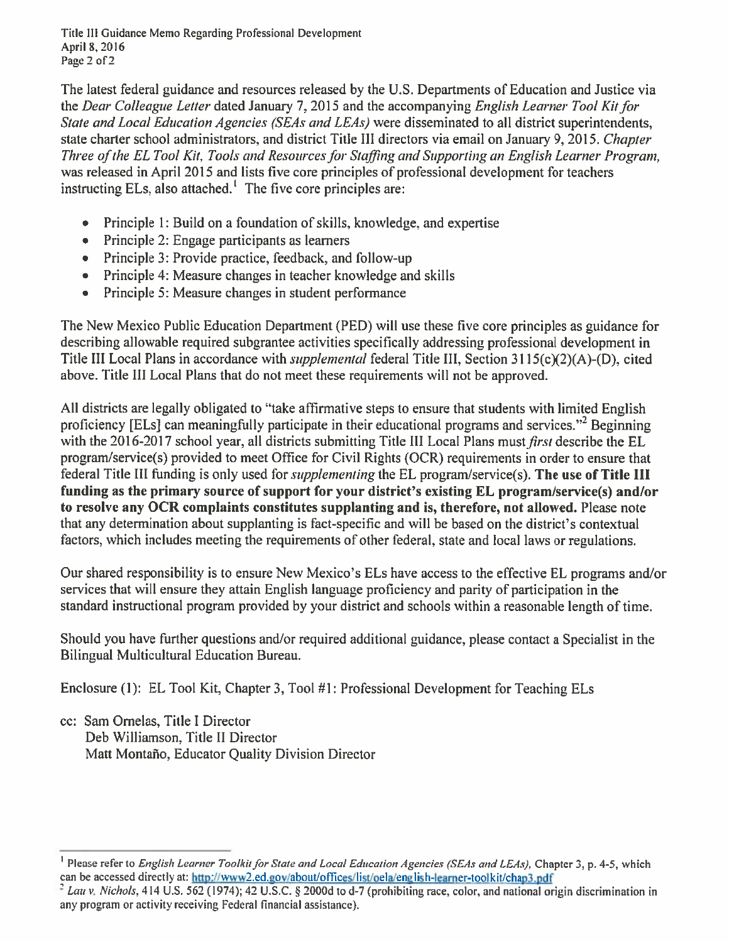Title III Guidance Memo Regarding Professional Development April 8, 2016 Page 2 of 2

The latest federal guidance and resources released by the U.S. Departments of Education and Justice via the Dear Colleague Letter dated January 7, 2015 and the accompanying English Learner Tool Kit for State and Local Education Agencies (SEAs and LEAs) were disseminated to all district superintendents. state charter school administrators, and district Title III directors via email on January 9, 2015. Chapter Three of the EL Tool Kit, Tools and Resources for Staffing and Supporting an English Learner Program, was released in April 2015 and lists five core principles of professional development for teachers instructing ELs, also attached.<sup>1</sup> The five core principles are:

- Principle 1: Build on a foundation of skills, knowledge, and expertise
- Principle 2: Engage participants as learners  $\bullet$
- Principle 3: Provide practice, feedback, and follow-up
- Principle 4: Measure changes in teacher knowledge and skills
- Principle 5: Measure changes in student performance  $\bullet$

The New Mexico Public Education Department (PED) will use these five core principles as guidance for describing allowable required subgrantee activities specifically addressing professional development in Title III Local Plans in accordance with *supplemental* federal Title III, Section 3115(c)(2)(A)-(D), cited above. Title III Local Plans that do not meet these requirements will not be approved.

All districts are legally obligated to "take affirmative steps to ensure that students with limited English proficiency [ELs] can meaningfully participate in their educational programs and services."<sup>2</sup> Beginning with the 2016-2017 school year, all districts submitting Title III Local Plans must *first* describe the EL program/service(s) provided to meet Office for Civil Rights (OCR) requirements in order to ensure that federal Title III funding is only used for *supplementing* the EL program/service(s). The use of Title III funding as the primary source of support for your district's existing EL program/service(s) and/or to resolve any OCR complaints constitutes supplanting and is, therefore, not allowed. Please note that any determination about supplanting is fact-specific and will be based on the district's contextual factors, which includes meeting the requirements of other federal, state and local laws or regulations.

Our shared responsibility is to ensure New Mexico's ELs have access to the effective EL programs and/or services that will ensure they attain English language proficiency and parity of participation in the standard instructional program provided by your district and schools within a reasonable length of time.

Should you have further questions and/or required additional guidance, please contact a Specialist in the Bilingual Multicultural Education Bureau.

Enclosure (1): EL Tool Kit, Chapter 3, Tool #1: Professional Development for Teaching ELs

cc: Sam Ornelas, Title I Director Deb Williamson, Title II Director Matt Montaño, Educator Quality Division Director

<sup>&</sup>lt;sup>1</sup> Please refer to *English Learner Toolkit for State and Local Education Agencies (SEAs and LEAs)*, Chapter 3, p. 4-5, which can be accessed directly at: http://www2.ed.gov/about/offices/list/oela/english-learner-toolkit/chap3.pdf

 $2$  Lau v. Nichols, 414 U.S. 562 (1974); 42 U.S.C. § 2000d to d-7 (prohibiting race, color, and national origin discrimination in any program or activity receiving Federal financial assistance).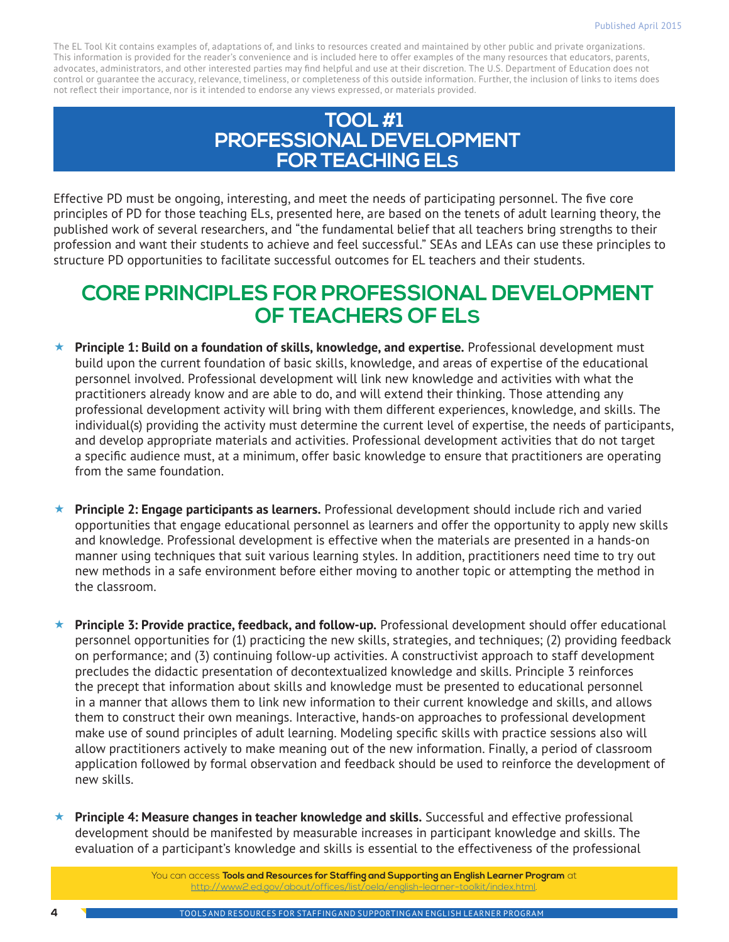The EL Tool Kit contains examples of, adaptations of, and links to resources created and maintained by other public and private organizations. This information is provided for the reader's convenience and is included here to offer examples of the many resources that educators, parents, advocates, administrators, and other interested parties may find helpful and use at their discretion. The U.S. Department of Education does not control or guarantee the accuracy, relevance, timeliness, or completeness of this outside information. Further, the inclusion of links to items does not reflect their importance, nor is it intended to endorse any views expressed, or materials provided.

## **TOOL #1 PROFESSIONAL DEVELOPMENT FOR TEACHING ELS**

Effective PD must be ongoing, interesting, and meet the needs of participating personnel. The five core principles of PD for those teaching ELs, presented here, are based on the tenets of adult learning theory, the published work of several researchers, and "the fundamental belief that all teachers bring strengths to their profession and want their students to achieve and feel successful." SEAs and LEAs can use these principles to structure PD opportunities to facilitate successful outcomes for EL teachers and their students.

# **CORE PRINCIPLES FOR PROFESSIONAL DEVELOPMENT OF TEACHERS OF ELS**

- **Principle 1: Build on a foundation of skills, knowledge, and expertise.** Professional development must build upon the current foundation of basic skills, knowledge, and areas of expertise of the educational personnel involved. Professional development will link new knowledge and activities with what the practitioners already know and are able to do, and will extend their thinking. Those attending any professional development activity will bring with them different experiences, knowledge, and skills. The individual(s) providing the activity must determine the current level of expertise, the needs of participants, and develop appropriate materials and activities. Professional development activities that do not target a specific audience must, at a minimum, offer basic knowledge to ensure that practitioners are operating from the same foundation.
- **Principle 2: Engage participants as learners.** Professional development should include rich and varied opportunities that engage educational personnel as learners and offer the opportunity to apply new skills and knowledge. Professional development is effective when the materials are presented in a hands-on manner using techniques that suit various learning styles. In addition, practitioners need time to try out new methods in a safe environment before either moving to another topic or attempting the method in the classroom.
- **Principle 3: Provide practice, feedback, and follow-up.** Professional development should offer educational personnel opportunities for (1) practicing the new skills, strategies, and techniques; (2) providing feedback on performance; and (3) continuing follow-up activities. A constructivist approach to staff development precludes the didactic presentation of decontextualized knowledge and skills. Principle 3 reinforces the precept that information about skills and knowledge must be presented to educational personnel in a manner that allows them to link new information to their current knowledge and skills, and allows them to construct their own meanings. Interactive, hands-on approaches to professional development make use of sound principles of adult learning. Modeling specific skills with practice sessions also will allow practitioners actively to make meaning out of the new information. Finally, a period of classroom application followed by formal observation and feedback should be used to reinforce the development of new skills.
- **Principle 4: Measure changes in teacher knowledge and skills.** Successful and effective professional development should be manifested by measurable increases in participant knowledge and skills. The evaluation of a participant's knowledge and skills is essential to the effectiveness of the professional

You can access **Tools and Resources for Staffing and Supporting an English Learner Program** at [http://www2.ed.gov/about/offices/list/oela/english-learner-toolkit/index.html.](http://www2.ed.gov/about/offices/list/oela/english-learner-toolkit/index.html)